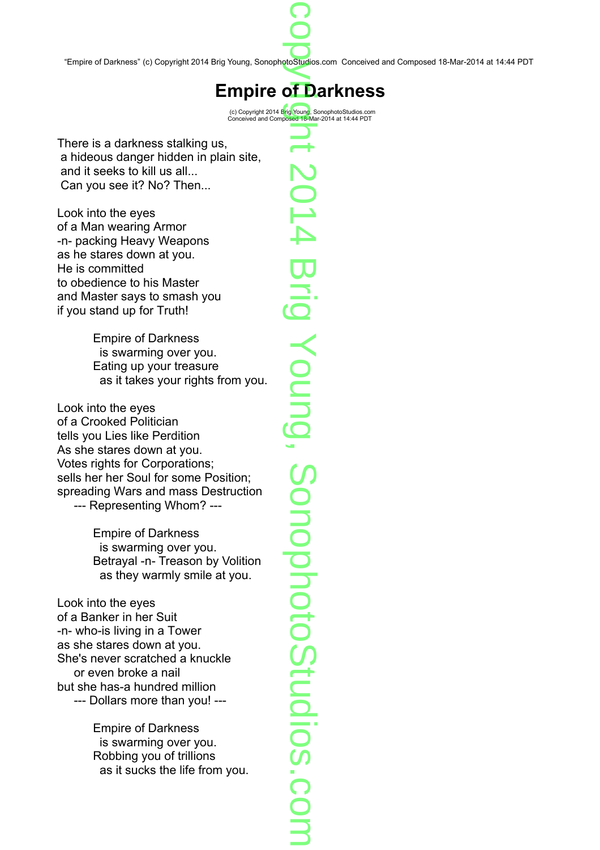"Empire of Darkness" (c) Copyright 2014 Brig Young, SonophotoStudios.com Conceived and Composed 18-Mar-2014 at 14:44 PDT p prostud

 $\bigcirc$ o

## **Empire of Darkness**<br> **represent 2014 Brig Young, SonophotoStudios.com**

(c) Copyright 2014 Brig Young, SonophotoStudios.com Conceived and Composed 18-Mar-2014 at 14:44 PDT

There is a darkness stalking us, a hideous danger hidden in plain site, and it seeks to kill us all... Can you see it? No? Then...

Look into the eyes of a Man wearing Armor -n- packing Heavy Weapons as he stares down at you. He is committed to obedience to his Master and Master says to smash you if you stand up for Truth!

> Empire of Darkness is swarming over you. Eating up your treasure as it takes your rights from you.

Look into the eyes of a Crooked Politician tells you Lies like Perdition As she stares down at you. Votes rights for Corporations; sells her her Soul for some Position; spreading Wars and mass Destruction --- Representing Whom? ---

> Empire of Darkness is swarming over you. Betrayal -n- Treason by Volition as they warmly smile at you.

Look into the eyes of a Banker in her Suit -n- who-is living in a Tower as she stares down at you. She's never scratched a knuckle or even broke a nail but she has-a hundred million --- Dollars more than you! ---

> Empire of Darkness is swarming over you. Robbing you of trillions as it sucks the life from you.

 $\overline{\phantom{a}}$  $\overline{\phantom{a}}$  $\overline{\mathsf{C}}$  $\bigcirc$  $\overline{\phantom{0}}$  $\overline{\phantom{0}}$  $\overline{\mathbf{U}}$ rig  $\prec$ o  $\overline{\phantom{0}}$  $\overline{\phantom{0}}$ م.<br>و  $\mathcal O$ o  $\overline{\phantom{0}}$ o  $\overline{\mathbf{C}}$  $\overline{\phantom{a}}$ o  $\overline{\phantom{a}}$ o  $\mathcal O$  $\overline{\phantom{a}}$  $\overline{\phantom{0}}$ dio s.c o  $\mathbf{\Xi}$